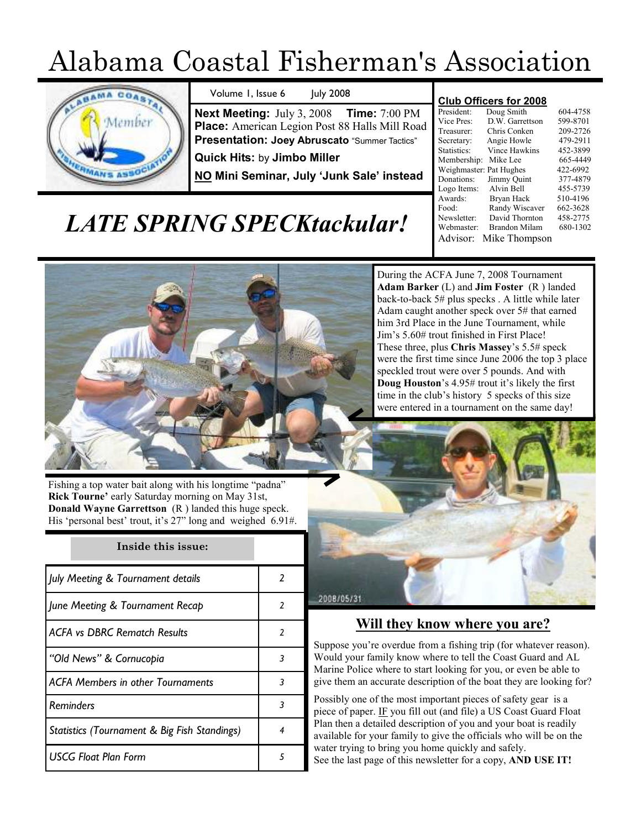# Alabama Coastal Fisherman's Association



Volume 1, Issue 6 July 2008

Next Meeting: July 3, 2008 Time: 7:00 PM Place: American Legion Post 88 Halls Mill Road Presentation: Joey Abruscato "Summer Tactics"

Quick Hits: by Jimbo Miller

NO Mini Seminar, July 'Junk Sale' instead

#### Club Officers for 2008

|                         | 604-4758<br>599-8701 |  |  |
|-------------------------|----------------------|--|--|
| Doug Smith              |                      |  |  |
| D.W. Garrettson         |                      |  |  |
| Chris Conken            | 209-2726             |  |  |
| Angie Howle             | 479-2911             |  |  |
| <b>Vince Hawkins</b>    | 452-3899             |  |  |
| Mike Lee                | 665-4449             |  |  |
| Weighmaster: Pat Hughes | 422-6992             |  |  |
| Jimmy Quint             | 377-4879             |  |  |
| Alvin Bell              | 455-5739             |  |  |
| Bryan Hack              | 510-4196             |  |  |
| Randy Wiscaver          | 662-3628             |  |  |
| David Thornton          | 458-2775             |  |  |
| Brandon Milam           | 680-1302             |  |  |
| Mike Thompson           |                      |  |  |
|                         |                      |  |  |

## LATE SPRING SPECKtackular!



Fishing a top water bait along with his longtime "padna" Rick Tourne' early Saturday morning on May 31st, Donald Wayne Garrettson (R ) landed this huge speck. His 'personal best' trout, it's 27" long and weighed 6.91#.

## Inside this issue:

| July Meeting & Tournament details            | 2             |
|----------------------------------------------|---------------|
| June Meeting & Tournament Recap              | 2             |
| <b>ACFA vs DBRC Rematch Results</b>          | $\mathfrak z$ |
| "Old News" & Cornucopia                      | 3             |
| <b>ACFA Members in other Tournaments</b>     | 3             |
| <b>Reminders</b>                             | 3             |
| Statistics (Tournament & Big Fish Standings) | 4             |
| <b>USCG Float Plan Form</b>                  | 5             |

During the ACFA June 7, 2008 Tournament Adam Barker (L) and Jim Foster (R) landed back-to-back 5# plus specks . A little while later Adam caught another speck over 5# that earned him 3rd Place in the June Tournament, while Jim's 5.60# trout finished in First Place! These three, plus Chris Massey's 5.5# speck were the first time since June 2006 the top 3 place speckled trout were over 5 pounds. And with Doug Houston's 4.95# trout it's likely the first time in the club's history 5 specks of this size were entered in a tournament on the same day!



### Will they know where you are?

Suppose you're overdue from a fishing trip (for whatever reason). Would your family know where to tell the Coast Guard and AL Marine Police where to start looking for you, or even be able to give them an accurate description of the boat they are looking for?

Possibly one of the most important pieces of safety gear is a piece of paper. IF you fill out (and file) a US Coast Guard Float Plan then a detailed description of you and your boat is readily available for your family to give the officials who will be on the water trying to bring you home quickly and safely. See the last page of this newsletter for a copy, AND USE IT!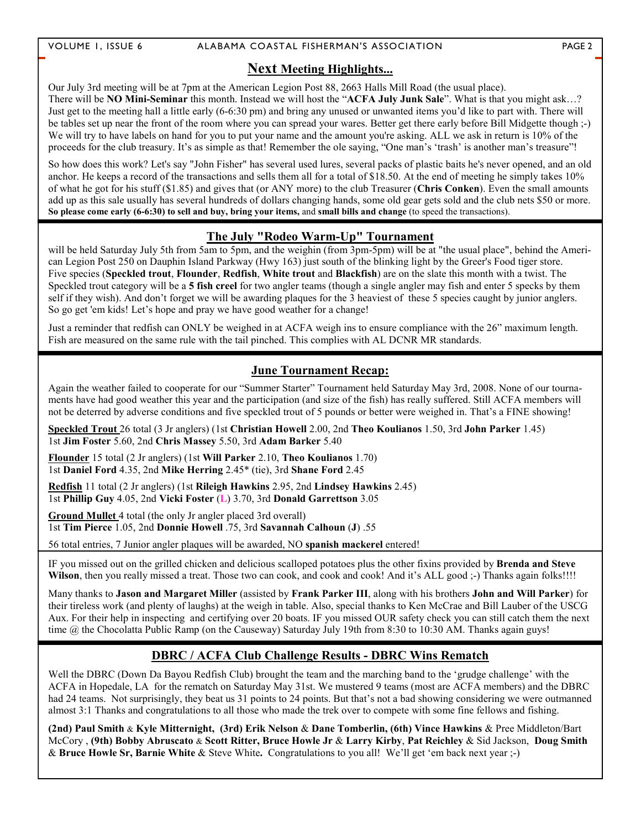#### VOLUME 1, ISSUE 6 ALABAMA COASTAL FISHERMAN'S ASSOCIATION PAGE 2

#### **Next Meeting Highlights...**

Our July 3rd meeting will be at 7pm at the American Legion Post 88, 2663 Halls Mill Road (the usual place). There will be NO Mini-Seminar this month. Instead we will host the "ACFA July Junk Sale". What is that you might ask...? Just get to the meeting hall a little early (6-6:30 pm) and bring any unused or unwanted items you'd like to part with. There will be tables set up near the front of the room where you can spread your wares. Better get there early before Bill Midgette though ;-) We will try to have labels on hand for you to put your name and the amount you're asking. ALL we ask in return is 10% of the proceeds for the club treasury. It's as simple as that! Remember the ole saying, "One man's 'trash' is another man's treasure"!

So how does this work? Let's say "John Fisher" has several used lures, several packs of plastic baits he's never opened, and an old anchor. He keeps a record of the transactions and sells them all for a total of \$18.50. At the end of meeting he simply takes 10% of what he got for his stuff (\$1.85) and gives that (or ANY more) to the club Treasurer (Chris Conken). Even the small amounts add up as this sale usually has several hundreds of dollars changing hands, some old gear gets sold and the club nets \$50 or more. So please come early (6-6:30) to sell and buy, bring your items, and small bills and change (to speed the transactions).

#### The July "Rodeo Warm-Up" Tournament

will be held Saturday July 5th from 5am to 5pm, and the weighin (from 3pm-5pm) will be at "the usual place", behind the American Legion Post 250 on Dauphin Island Parkway (Hwy 163) just south of the blinking light by the Greer's Food tiger store. Five species (Speckled trout, Flounder, Redfish, White trout and Blackfish) are on the slate this month with a twist. The Speckled trout category will be a 5 fish creel for two angler teams (though a single angler may fish and enter 5 specks by them self if they wish). And don't forget we will be awarding plaques for the 3 heaviest of these 5 species caught by junior anglers. So go get 'em kids! Let's hope and pray we have good weather for a change!

Just a reminder that redfish can ONLY be weighed in at ACFA weigh ins to ensure compliance with the 26" maximum length. Fish are measured on the same rule with the tail pinched. This complies with AL DCNR MR standards.

#### June Tournament Recap:

Again the weather failed to cooperate for our "Summer Starter" Tournament held Saturday May 3rd, 2008. None of our tournaments have had good weather this year and the participation (and size of the fish) has really suffered. Still ACFA members will not be deterred by adverse conditions and five speckled trout of 5 pounds or better were weighed in. That's a FINE showing!

Speckled Trout 26 total (3 Jr anglers) (1st Christian Howell 2.00, 2nd Theo Koulianos 1.50, 3rd John Parker 1.45) 1st Jim Foster 5.60, 2nd Chris Massey 5.50, 3rd Adam Barker 5.40

Flounder 15 total (2 Jr anglers) (1st Will Parker 2.10, Theo Koulianos 1.70) 1st Daniel Ford 4.35, 2nd Mike Herring 2.45\* (tie), 3rd Shane Ford 2.45

Redfish 11 total (2 Jr anglers) (1st Rileigh Hawkins 2.95, 2nd Lindsey Hawkins 2.45) 1st Phillip Guy 4.05, 2nd Vicki Foster (L) 3.70, 3rd Donald Garrettson 3.05

Ground Mullet 4 total (the only Jr angler placed 3rd overall) 1st Tim Pierce 1.05, 2nd Donnie Howell .75, 3rd Savannah Calhoun (J) .55

56 total entries, 7 Junior angler plaques will be awarded, NO spanish mackerel entered!

IF you missed out on the grilled chicken and delicious scalloped potatoes plus the other fixins provided by Brenda and Steve Wilson, then you really missed a treat. Those two can cook, and cook and cook! And it's ALL good ;-) Thanks again folks!!!!

Many thanks to Jason and Margaret Miller (assisted by Frank Parker III, along with his brothers John and Will Parker) for their tireless work (and plenty of laughs) at the weigh in table. Also, special thanks to Ken McCrae and Bill Lauber of the USCG Aux. For their help in inspecting and certifying over 20 boats. IF you missed OUR safety check you can still catch them the next time @ the Chocolatta Public Ramp (on the Causeway) Saturday July 19th from 8:30 to 10:30 AM. Thanks again guys!

#### DBRC / ACFA Club Challenge Results - DBRC Wins Rematch

Well the DBRC (Down Da Bayou Redfish Club) brought the team and the marching band to the 'grudge challenge' with the ACFA in Hopedale, LA for the rematch on Saturday May 31st. We mustered 9 teams (most are ACFA members) and the DBRC had 24 teams. Not surprisingly, they beat us 31 points to 24 points. But that's not a bad showing considering we were outmanned almost 3:1 Thanks and congratulations to all those who made the trek over to compete with some fine fellows and fishing.

(2nd) Paul Smith & Kyle Mitternight, (3rd) Erik Nelson & Dane Tomberlin, (6th) Vince Hawkins & Pree Middleton/Bart McCory , (9th) Bobby Abruscato & Scott Ritter, Bruce Howle Jr & Larry Kirby, Pat Reichley & Sid Jackson, Doug Smith & Bruce Howle Sr, Barnie White & Steve White. Congratulations to you all! We'll get 'em back next year ;-)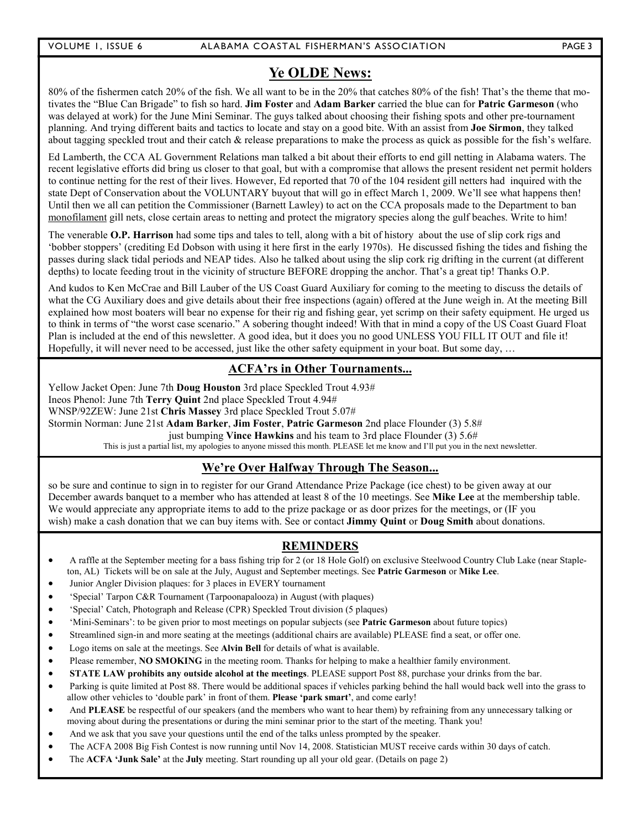#### Ye OLDE News:

80% of the fishermen catch 20% of the fish. We all want to be in the 20% that catches 80% of the fish! That's the theme that motivates the "Blue Can Brigade" to fish so hard. Jim Foster and Adam Barker carried the blue can for Patric Garmeson (who was delayed at work) for the June Mini Seminar. The guys talked about choosing their fishing spots and other pre-tournament planning. And trying different baits and tactics to locate and stay on a good bite. With an assist from Joe Sirmon, they talked about tagging speckled trout and their catch & release preparations to make the process as quick as possible for the fish's welfare.

Ed Lamberth, the CCA AL Government Relations man talked a bit about their efforts to end gill netting in Alabama waters. The recent legislative efforts did bring us closer to that goal, but with a compromise that allows the present resident net permit holders to continue netting for the rest of their lives. However, Ed reported that 70 of the 104 resident gill netters had inquired with the state Dept of Conservation about the VOLUNTARY buyout that will go in effect March 1, 2009. We'll see what happens then! Until then we all can petition the Commissioner (Barnett Lawley) to act on the CCA proposals made to the Department to ban monofilament gill nets, close certain areas to netting and protect the migratory species along the gulf beaches. Write to him!

The venerable O.P. Harrison had some tips and tales to tell, along with a bit of history about the use of slip cork rigs and 'bobber stoppers' (crediting Ed Dobson with using it here first in the early 1970s). He discussed fishing the tides and fishing the passes during slack tidal periods and NEAP tides. Also he talked about using the slip cork rig drifting in the current (at different depths) to locate feeding trout in the vicinity of structure BEFORE dropping the anchor. That's a great tip! Thanks O.P.

And kudos to Ken McCrae and Bill Lauber of the US Coast Guard Auxiliary for coming to the meeting to discuss the details of what the CG Auxiliary does and give details about their free inspections (again) offered at the June weigh in. At the meeting Bill explained how most boaters will bear no expense for their rig and fishing gear, yet scrimp on their safety equipment. He urged us to think in terms of "the worst case scenario." A sobering thought indeed! With that in mind a copy of the US Coast Guard Float Plan is included at the end of this newsletter. A good idea, but it does you no good UNLESS YOU FILL IT OUT and file it! Hopefully, it will never need to be accessed, just like the other safety equipment in your boat. But some day, ...

#### ACFA'rs in Other Tournaments...

Yellow Jacket Open: June 7th Doug Houston 3rd place Speckled Trout 4.93# Ineos Phenol: June 7th Terry Quint 2nd place Speckled Trout 4.94# WNSP/92ZEW: June 21st Chris Massey 3rd place Speckled Trout 5.07# Stormin Norman: June 21st Adam Barker, Jim Foster, Patric Garmeson 2nd place Flounder (3) 5.8# just bumping Vince Hawkins and his team to 3rd place Flounder (3) 5.6# This is just a partial list, my apologies to anyone missed this month. PLEASE let me know and I'll put you in the next newsletter.

#### We're Over Halfway Through The Season...

so be sure and continue to sign in to register for our Grand Attendance Prize Package (ice chest) to be given away at our December awards banquet to a member who has attended at least 8 of the 10 meetings. See Mike Lee at the membership table. We would appreciate any appropriate items to add to the prize package or as door prizes for the meetings, or (IF you wish) make a cash donation that we can buy items with. See or contact **Jimmy Quint or Doug Smith** about donations.

#### REMINDERS

- A raffle at the September meeting for a bass fishing trip for 2 (or 18 Hole Golf) on exclusive Steelwood Country Club Lake (near Stapleton, AL) Tickets will be on sale at the July, August and September meetings. See Patric Garmeson or Mike Lee.
- Junior Angler Division plaques: for 3 places in EVERY tournament
- 'Special' Tarpon C&R Tournament (Tarpoonapalooza) in August (with plaques)
- 'Special' Catch, Photograph and Release (CPR) Speckled Trout division (5 plaques)
- 'Mini-Seminars': to be given prior to most meetings on popular subjects (see Patric Garmeson about future topics)
- Streamlined sign-in and more seating at the meetings (additional chairs are available) PLEASE find a seat, or offer one.
- Logo items on sale at the meetings. See Alvin Bell for details of what is available.
- Please remember, NO SMOKING in the meeting room. Thanks for helping to make a healthier family environment.
- STATE LAW prohibits any outside alcohol at the meetings. PLEASE support Post 88, purchase your drinks from the bar.
- Parking is quite limited at Post 88. There would be additional spaces if vehicles parking behind the hall would back well into the grass to allow other vehicles to 'double park' in front of them. Please 'park smart', and come early!
- And PLEASE be respectful of our speakers (and the members who want to hear them) by refraining from any unnecessary talking or moving about during the presentations or during the mini seminar prior to the start of the meeting. Thank you!
- And we ask that you save your questions until the end of the talks unless prompted by the speaker.
- The ACFA 2008 Big Fish Contest is now running until Nov 14, 2008. Statistician MUST receive cards within 30 days of catch.
- The ACFA 'Junk Sale' at the July meeting. Start rounding up all your old gear. (Details on page 2)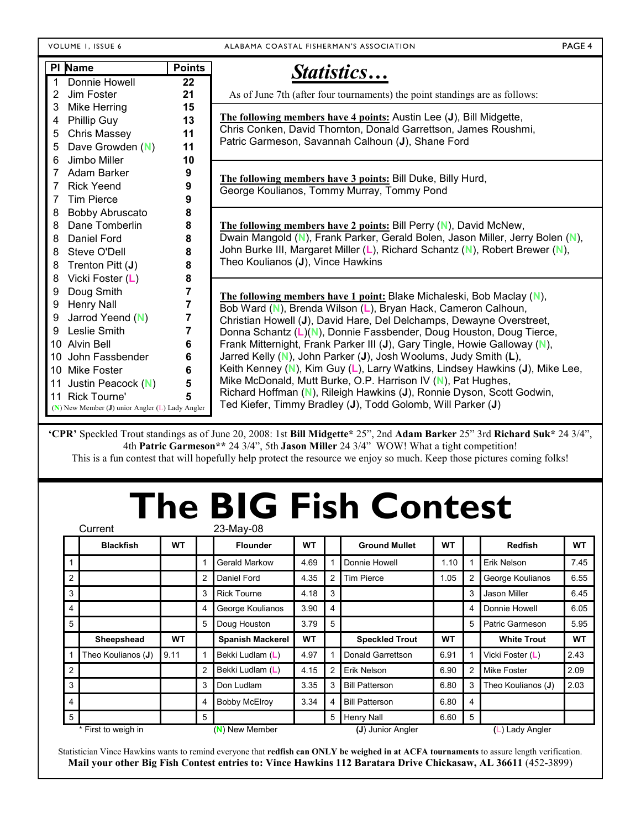VOLUME 1, ISSUE 6 ALABAMA COASTAL FISHERMAN'S ASSOCIATION **PAGE 4** 

| PI Name                                           | <b>Points</b>           | Statistics                                                                    |
|---------------------------------------------------|-------------------------|-------------------------------------------------------------------------------|
| Donnie Howell                                     | 22                      |                                                                               |
| Jim Foster<br>2                                   | 21                      | As of June 7th (after four tournaments) the point standings are as follows:   |
| Mike Herring<br>3                                 | 15                      |                                                                               |
| Phillip Guy<br>4                                  | 13                      | The following members have 4 points: Austin Lee (J), Bill Midgette,           |
| <b>Chris Massey</b><br>5                          | 11                      | Chris Conken, David Thornton, Donald Garrettson, James Roushmi,               |
| Dave Growden (N)<br>5                             | 11                      | Patric Garmeson, Savannah Calhoun (J), Shane Ford                             |
| Jimbo Miller<br>6                                 | 10                      |                                                                               |
| Adam Barker<br>7                                  | 9                       | The following members have 3 points: Bill Duke, Billy Hurd,                   |
| <b>Rick Yeend</b><br>7                            | 9                       | George Koulianos, Tommy Murray, Tommy Pond                                    |
| <b>Tim Pierce</b><br>7                            | 9                       |                                                                               |
| <b>Bobby Abruscato</b><br>8                       | 8                       |                                                                               |
| Dane Tomberlin<br>8                               | 8                       | The following members have 2 points: Bill Perry (N), David McNew,             |
| Daniel Ford<br>8                                  | 8                       | Dwain Mangold (N), Frank Parker, Gerald Bolen, Jason Miller, Jerry Bolen (N), |
| Steve O'Dell<br>8                                 | 8                       | John Burke III, Margaret Miller (L), Richard Schantz (N), Robert Brewer (N),  |
| Trenton Pitt (J)<br>8                             | 8                       | Theo Koulianos (J), Vince Hawkins                                             |
| Vicki Foster (L)<br>8                             | 8                       |                                                                               |
| Doug Smith<br>9                                   | 7                       | The following members have 1 point: Blake Michaleski, Bob Maclay (N),         |
| <b>Henry Nall</b><br>9                            | $\overline{7}$          | Bob Ward (N), Brenda Wilson (L), Bryan Hack, Cameron Calhoun,                 |
| Jarrod Yeend (N)<br>9                             | $\overline{7}$          | Christian Howell (J), David Hare, Del Delchamps, Dewayne Overstreet,          |
| Leslie Smith<br>9                                 | $\overline{\mathbf{r}}$ | Donna Schantz (L)(N), Donnie Fassbender, Doug Houston, Doug Tierce,           |
| 10 Alvin Bell                                     | 6                       | Frank Mitternight, Frank Parker III (J), Gary Tingle, Howie Galloway (N),     |
| 10 John Fassbender                                | 6                       | Jarred Kelly (N), John Parker (J), Josh Woolums, Judy Smith (L),              |
| 10 Mike Foster                                    | 6                       | Keith Kenney (N), Kim Guy (L), Larry Watkins, Lindsey Hawkins (J), Mike Lee,  |
| 11 Justin Peacock (N)                             | 5                       | Mike McDonald, Mutt Burke, O.P. Harrison IV (N), Pat Hughes,                  |
| 11 Rick Tourne'                                   | 5                       | Richard Hoffman (N), Rileigh Hawkins (J), Ronnie Dyson, Scott Godwin,         |
| $(N)$ New Member (J) unior Angler (L) Lady Angler |                         | Ted Kiefer, Timmy Bradley (J), Todd Golomb, Will Parker (J)                   |

'CPR' Speckled Trout standings as of June 20, 2008: 1st Bill Midgette\* 25", 2nd Adam Barker 25" 3rd Richard Suk\* 24 3/4", 4th Patric Garmeson\*\* 24 3/4", 5th Jason Miller 24 3/4" WOW! What a tight competition! This is a fun contest that will hopefully help protect the resource we enjoy so much. Keep those pictures coming folks!

# The BIG Fish Contest

|                | Current            |           |   | 23-May-08               |           |                |                       |           |   |                    |           |
|----------------|--------------------|-----------|---|-------------------------|-----------|----------------|-----------------------|-----------|---|--------------------|-----------|
|                | <b>Blackfish</b>   | <b>WT</b> |   | <b>Flounder</b>         | <b>WT</b> |                | <b>Ground Mullet</b>  | <b>WT</b> |   | <b>Redfish</b>     | <b>WT</b> |
|                |                    |           |   | Gerald Markow           | 4.69      |                | Donnie Howell         | 1.10      |   | Erik Nelson        | 7.45      |
| $\overline{2}$ |                    |           | 2 | Daniel Ford             | 4.35      | 2              | <b>Tim Pierce</b>     | 1.05      | 2 | George Koulianos   | 6.55      |
| 3              |                    |           | 3 | <b>Rick Tourne</b>      | 4.18      | 3              |                       |           | 3 | Jason Miller       | 6.45      |
| 4              |                    |           | 4 | George Koulianos        | 3.90      | $\overline{4}$ |                       |           | 4 | Donnie Howell      | 6.05      |
| 5              |                    |           | 5 | Doug Houston            | 3.79      | 5              |                       |           | 5 | Patric Garmeson    | 5.95      |
|                | Sheepshead         | <b>WT</b> |   | <b>Spanish Mackerel</b> | <b>WT</b> |                | <b>Speckled Trout</b> | <b>WT</b> |   | <b>White Trout</b> | <b>WT</b> |
|                | Theo Koulianos (J) |           |   | Bekki Ludlam (L)        |           |                |                       |           |   |                    |           |
|                |                    | 9.11      |   |                         | 4.97      |                | Donald Garrettson     | 6.91      |   | Vicki Foster (L)   | 2.43      |
| $\overline{2}$ |                    |           | 2 | Bekki Ludlam (L)        | 4.15      | $\overline{2}$ | Erik Nelson           | 6.90      | 2 | Mike Foster        | 2.09      |
| 3              |                    |           | 3 | Don Ludlam              | 3.35      | 3              | <b>Bill Patterson</b> | 6.80      | 3 | Theo Koulianos (J) | 2.03      |
| 4              |                    |           |   | <b>Bobby McElroy</b>    | 3.34      |                | <b>Bill Patterson</b> | 6.80      | 4 |                    |           |
| 5 <sup>5</sup> |                    |           | 5 |                         |           | 5              | <b>Henry Nall</b>     | 6.60      | 5 |                    |           |

Statistician Vince Hawkins wants to remind everyone that redfish can ONLY be weighed in at ACFA tournaments to assure length verification. Mail your other Big Fish Contest entries to: Vince Hawkins 112 Baratara Drive Chickasaw, AL 36611 (452-3899)